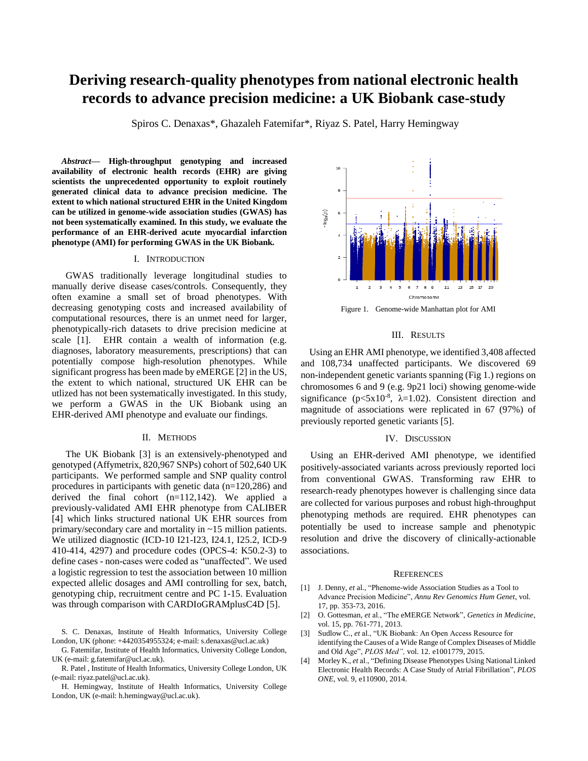# **Deriving research-quality phenotypes from national electronic health records to advance precision medicine: a UK Biobank case-study**

Spiros C. Denaxas\*, Ghazaleh Fatemifar\*, Riyaz S. Patel, Harry Hemingway

*Abstract***— High-throughput genotyping and increased availability of electronic health records (EHR) are giving scientists the unprecedented opportunity to exploit routinely generated clinical data to advance precision medicine. The extent to which national structured EHR in the United Kingdom can be utilized in genome-wide association studies (GWAS) has not been systematically examined. In this study, we evaluate the performance of an EHR-derived acute myocardial infarction phenotype (AMI) for performing GWAS in the UK Biobank.**

## I. INTRODUCTION

GWAS traditionally leverage longitudinal studies to manually derive disease cases/controls. Consequently, they often examine a small set of broad phenotypes. With decreasing genotyping costs and increased availability of computational resources, there is an unmet need for larger, phenotypically-rich datasets to drive precision medicine at scale [1]. EHR contain a wealth of information (e.g. diagnoses, laboratory measurements, prescriptions) that can potentially compose high-resolution phenotypes. While significant progress has been made by eMERGE [2] in the US, the extent to which national, structured UK EHR can be utlized has not been systematically investigated. In this study, we perform a GWAS in the UK Biobank using an EHR-derived AMI phenotype and evaluate our findings.

## II. METHODS

The UK Biobank [3] is an extensively-phenotyped and genotyped (Affymetrix, 820,967 SNPs) cohort of 502,640 UK participants. We performed sample and SNP quality control procedures in participants with genetic data (n=120,286) and derived the final cohort (n=112,142). We applied a previously-validated AMI EHR phenotype from CALIBER [4] which links structured national UK EHR sources from primary/secondary care and mortality in ~15 million patients. We utilized diagnostic (ICD-10 I21-I23, I24.1, I25.2, ICD-9 410-414, 4297) and procedure codes (OPCS-4: K50.2-3) to define cases - non-cases were coded as "unaffected". We used a logistic regression to test the association between 10 million expected allelic dosages and AMI controlling for sex, batch, genotyping chip, recruitment centre and PC 1-15. Evaluation was through comparison with CARDIoGRAMplusC4D [5].

G. Fatemifar, Institute of Health Informatics, University College London, UK (e-mail: g.fatemifar@ucl.ac.uk).

R. Patel , Institute of Health Informatics, University College London, UK (e-mail: riyaz.patel@ucl.ac.uk).

H. Hemingway, Institute of Health Informatics, University College London, UK (e-mail: h.hemingway@ucl.ac.uk).



Figure 1. Genome-wide Manhattan plot for AMI

### III. RESULTS

Using an EHR AMI phenotype, we identified 3,408 affected and 108,734 unaffected participants. We discovered 69 non-independent genetic variants spanning (Fig 1.) regions on chromosomes 6 and 9 (e.g. 9p21 loci) showing genome-wide significance ( $p < 5x10^{-8}$ ,  $\lambda = 1.02$ ). Consistent direction and magnitude of associations were replicated in 67 (97%) of previously reported genetic variants [5].

#### IV. DISCUSSION

Using an EHR-derived AMI phenotype, we identified positively-associated variants across previously reported loci from conventional GWAS. Transforming raw EHR to research-ready phenotypes however is challenging since data are collected for various purposes and robust high-throughput phenotyping methods are required. EHR phenotypes can potentially be used to increase sample and phenotypic resolution and drive the discovery of clinically-actionable associations.

#### **REFERENCES**

- [1] J. Denny, *et* al., "Phenome-wide Association Studies as a Tool to Advance Precision Medicine", *Annu Rev Genomics Hum Genet*, vol. 17, pp. 353-73, 2016.
- [2] O. Gottesman, *et* al., "The eMERGE Network", *Genetics in Medicine*, vol. 15, pp. 761-771, 2013.
- [3] Sudlow C., *et* al., "UK Biobank: An Open Access Resource for identifying the Causes of a Wide Range of Complex Diseases of Middle and Old Age", *PLOS Med",* vol. 12. e1001779, 2015.
- [4] Morley K., *et* al., "Defining Disease Phenotypes Using National Linked Electronic Health Records: A Case Study of Atrial Fibrillation", *PLOS ONE*, vol. 9, e110900, 2014.

S. C. Denaxas, Institute of Health Informatics, University College London, UK (phone: +4420354955324; e-mail: s.denaxas@ucl.ac.uk)